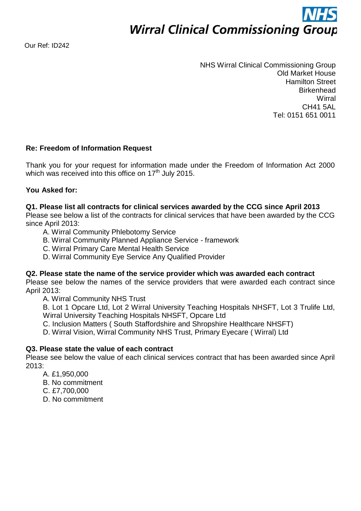**Wirral Clinical Commissioning Group** 

Our Ref: ID242

NHS Wirral Clinical Commissioning Group Old Market House Hamilton Street **Birkenhead Wirral** CH41 5AL Tel: 0151 651 0011

# **Re: Freedom of Information Request**

Thank you for your request for information made under the Freedom of Information Act 2000 which was received into this office on  $17<sup>th</sup>$  July 2015.

## **You Asked for:**

### **Q1. Please list all contracts for clinical services awarded by the CCG since April 2013**

Please see below a list of the contracts for clinical services that have been awarded by the CCG since April 2013:

- A. Wirral Community Phlebotomy Service
- B. Wirral Community Planned Appliance Service framework
- C. Wirral Primary Care Mental Health Service
- D. Wirral Community Eye Service Any Qualified Provider

### **Q2. Please state the name of the service provider which was awarded each contract**

Please see below the names of the service providers that were awarded each contract since April 2013:

A. Wirral Community NHS Trust

B. Lot 1 Opcare Ltd, Lot 2 Wirral University Teaching Hospitals NHSFT, Lot 3 Trulife Ltd, Wirral University Teaching Hospitals NHSFT, Opcare Ltd

C. Inclusion Matters ( South Staffordshire and Shropshire Healthcare NHSFT)

D. Wirral Vision, Wirral Community NHS Trust, Primary Eyecare ( Wirral) Ltd

## **Q3. Please state the value of each contract**

Please see below the value of each clinical services contract that has been awarded since April 2013:

- A. £1,950,000
- B. No commitment
- C. £7,700,000
- D. No commitment